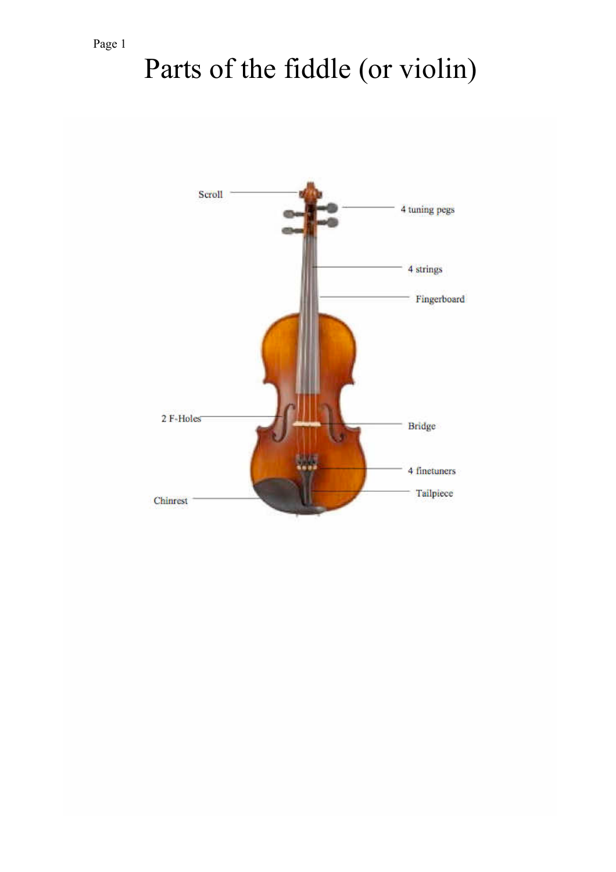# Parts of the fiddle (or violin)

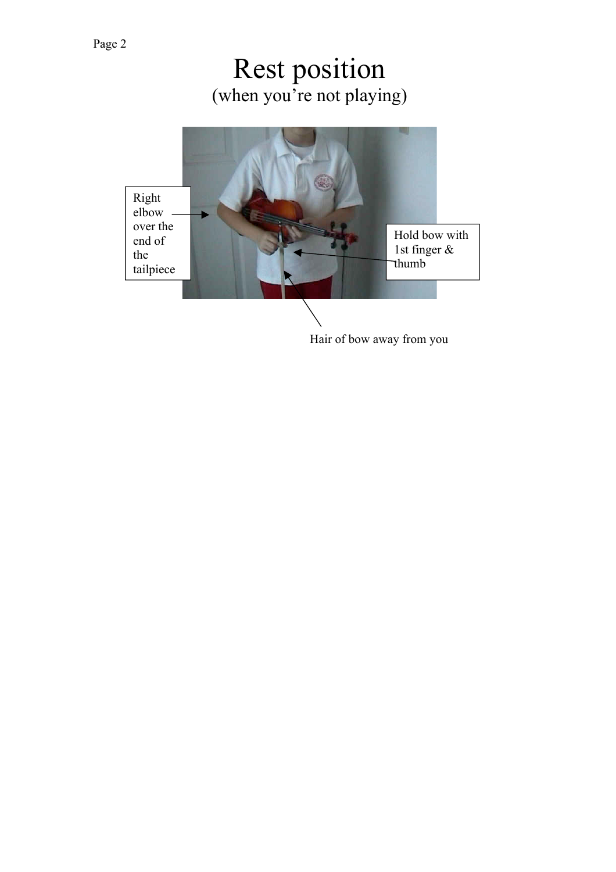# Rest position (when you're not playing)



Hair of bow away from you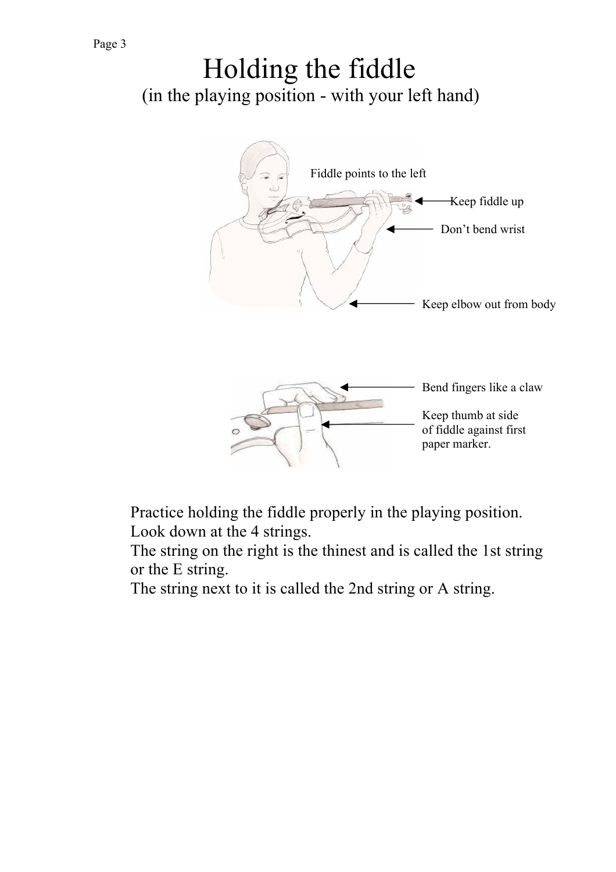# Holding the fiddle (in the playing position - with your left hand)



Practice holding the fiddle properly in the playing position. Look down at the 4 strings.

The string on the right is the thinest and is called the 1st string or the E string.

The string next to it is called the 2nd string or A string.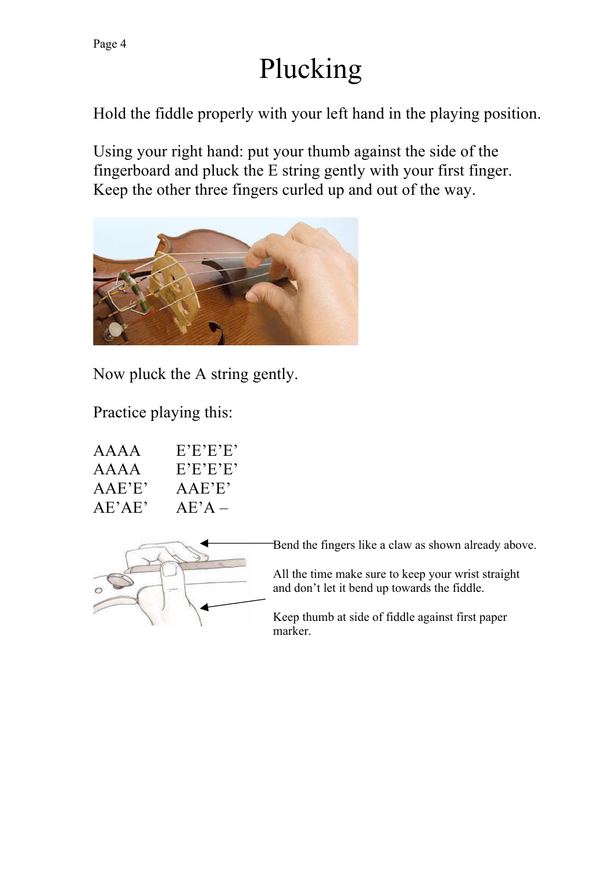# Plucking

Hold the fiddle properly with your left hand in the playing position.

Using your right hand: put your thumb against the side of the fingerboard and pluck the E string gently with your first finger. Keep the other three fingers curled up and out of the way.



Now pluck the A string gently.

Practice playing this:

| AAAA   | E'E'E'E  |
|--------|----------|
| AAAA   | E'E'E'E' |
| AAE'E' | AAE'E'   |
| AE'AE' | $AE'A -$ |



Bend the fingers like a claw as shown already above.

All the time make sure to keep your wrist straight and don't let it bend up towards the fiddle.

Keep thumb at side of fiddle against first paper marker.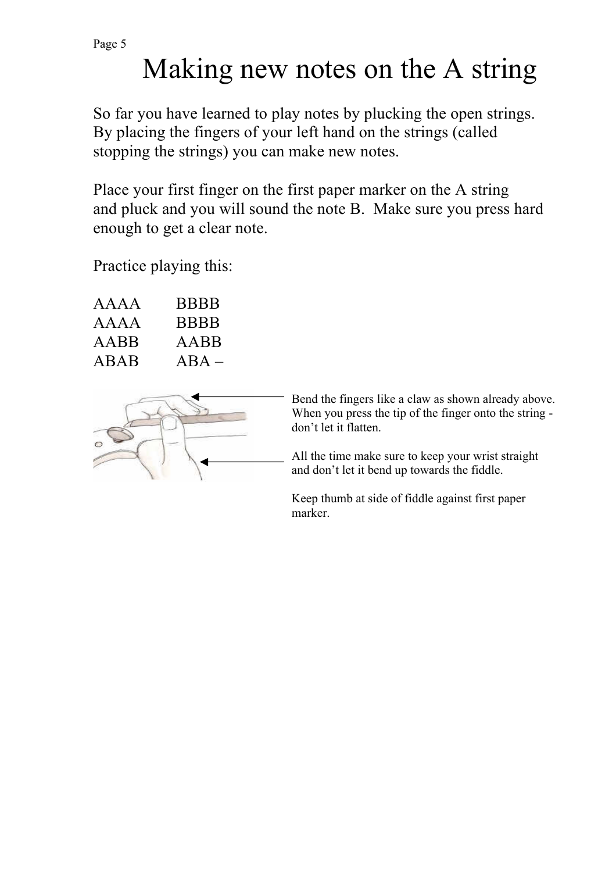# Making new notes on the A string

So far you have learned to play notes by plucking the open strings. By placing the fingers of your left hand on the strings (called stopping the strings) you can make new notes.

Place your first finger on the first paper marker on the A string and pluck and you will sound the note B. Make sure you press hard enough to get a clear note.

Practice playing this:

| AAAA | <b>BBBB</b> |
|------|-------------|
| AAAA | <b>BBBB</b> |
| AABB | AABB        |
| ABAB | $\bf{ABA}$  |



Bend the fingers like a claw as shown already above. When you press the tip of the finger onto the string don't let it flatten.

All the time make sure to keep your wrist straight and don't let it bend up towards the fiddle.

Keep thumb at side of fiddle against first paper marker.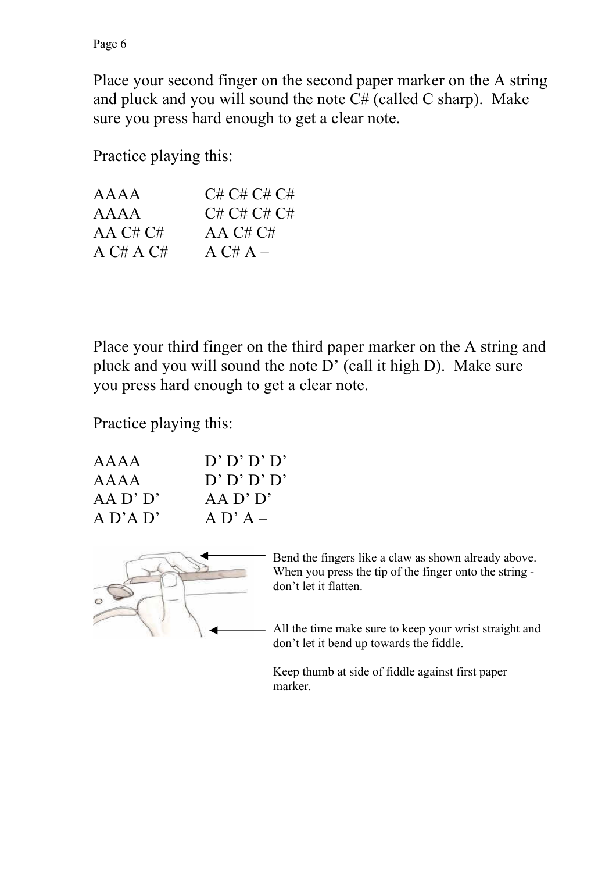Place your second finger on the second paper marker on the A string and pluck and you will sound the note  $C#$  (called C sharp). Make sure you press hard enough to get a clear note.

Practice playing this:

| AAAA      | C# C# C# C# |
|-----------|-------------|
| AAAA      | C# C# C# C# |
| AA C# C#  | AA C# C#    |
| A C# A C# | $A C# A -$  |

Place your third finger on the third paper marker on the A string and pluck and you will sound the note D' (call it high D). Make sure you press hard enough to get a clear note.

Practice playing this:

| AAAA         | D' D' D' D'  |
|--------------|--------------|
| AAAA         | D' D' D' D'  |
| $AA$ D' $D'$ | $AA$ D' $D'$ |
| A D' A D'    | $A \nD' A -$ |



Bend the fingers like a claw as shown already above. When you press the tip of the finger onto the string don't let it flatten.

All the time make sure to keep your wrist straight and don't let it bend up towards the fiddle.

Keep thumb at side of fiddle against first paper marker.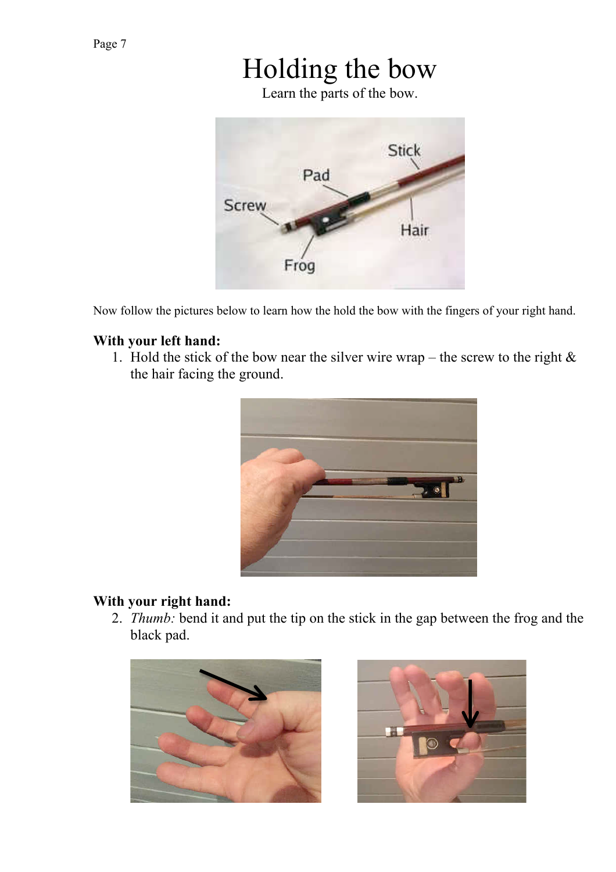# Holding the bow

Learn the parts of the bow.



Now follow the pictures below to learn how the hold the bow with the fingers of your right hand.

#### **With your left hand:**

1. Hold the stick of the bow near the silver wire wrap – the screw to the right  $\&$ the hair facing the ground.



#### **With your right hand:**

2. *Thumb:* bend it and put the tip on the stick in the gap between the frog and the black pad.



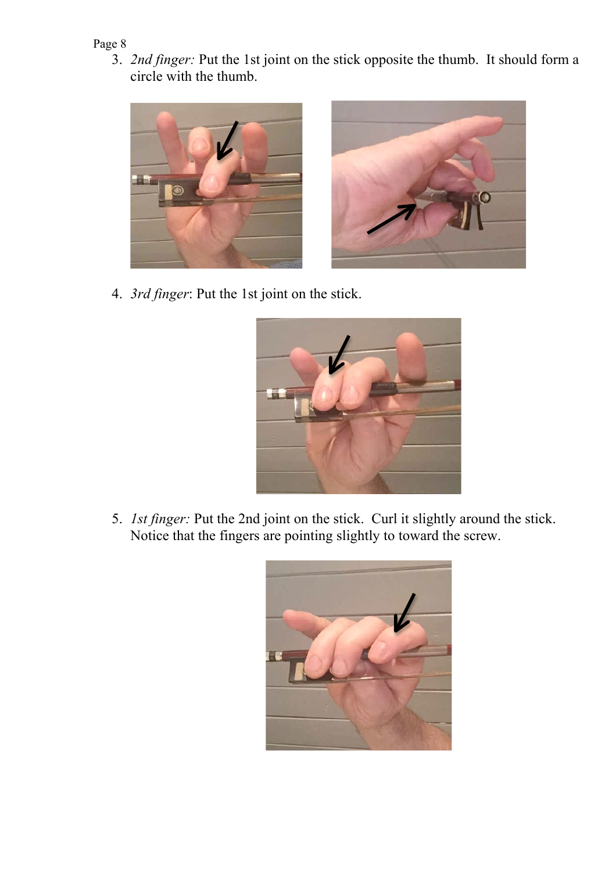3. *2nd finger:* Put the 1st joint on the stick opposite the thumb. It should form a circle with the thumb.





4. *3rd finger*: Put the 1st joint on the stick.



5. *1st finger:* Put the 2nd joint on the stick. Curl it slightly around the stick. Notice that the fingers are pointing slightly to toward the screw.

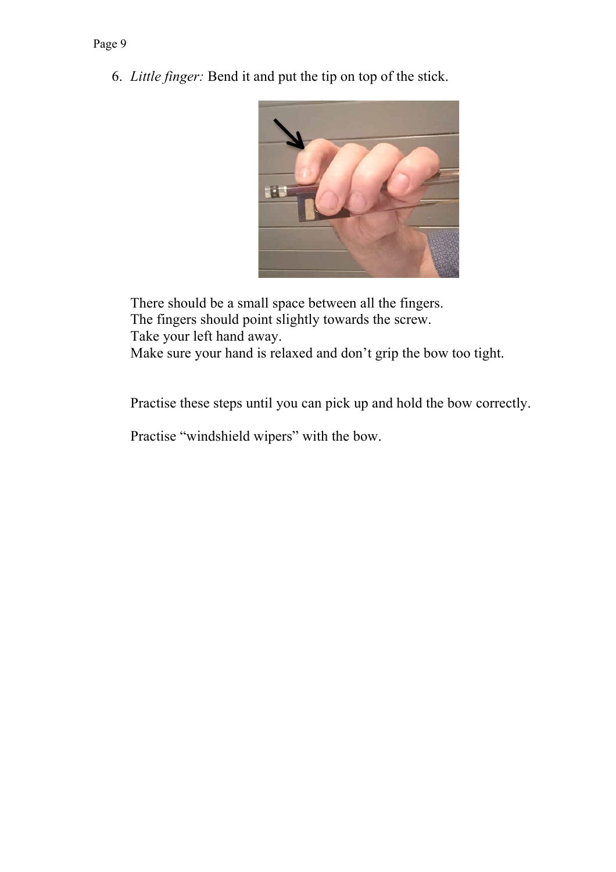6. *Little finger:* Bend it and put the tip on top of the stick.



There should be a small space between all the fingers. The fingers should point slightly towards the screw. Take your left hand away. Make sure your hand is relaxed and don't grip the bow too tight.

Practise these steps until you can pick up and hold the bow correctly.

Practise "windshield wipers" with the bow.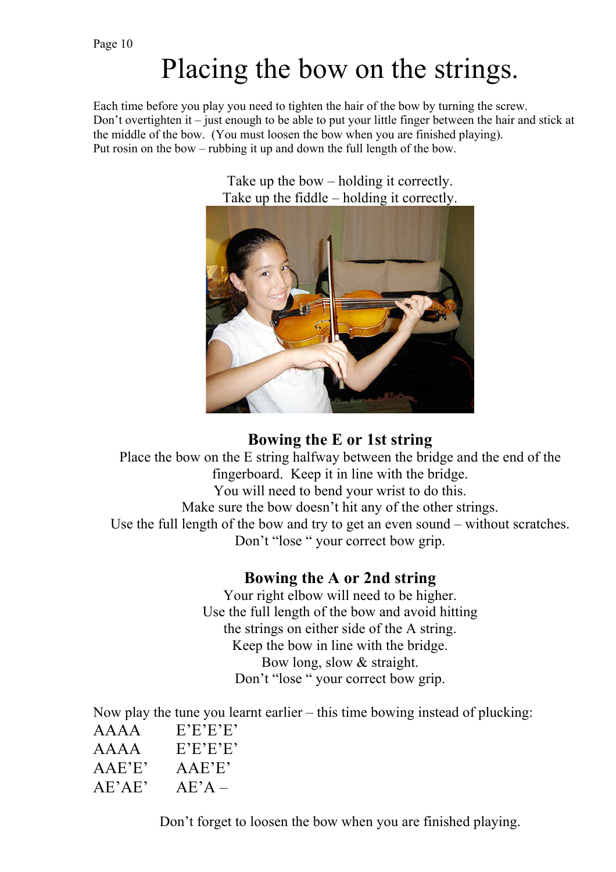# Placing the bow on the strings.

Each time before you play you need to tighten the hair of the bow by turning the screw. Don't overtighten it – just enough to be able to put your little finger between the hair and stick at the middle of the bow. (You must loosen the bow when you are finished playing). Put rosin on the bow – rubbing it up and down the full length of the bow.

> Take up the bow – holding it correctly. Take up the fiddle – holding it correctly.



## **Bowing the E or 1st string**

Place the bow on the E string halfway between the bridge and the end of the fingerboard. Keep it in line with the bridge. You will need to bend your wrist to do this. Make sure the bow doesn't hit any of the other strings. Use the full length of the bow and try to get an even sound – without scratches. Don't "lose " your correct bow grip.

## **Bowing the A or 2nd string**

Your right elbow will need to be higher. Use the full length of the bow and avoid hitting the strings on either side of the A string. Keep the bow in line with the bridge. Bow long, slow & straight. Don't "lose " your correct bow grip.

Now play the tune you learnt earlier – this time bowing instead of plucking: AAAA E'E'E'E' AAAA E'E'E'E'

- AAE'E' AAE'E'
- $AE'AE'$   $AE'A$  –

Don't forget to loosen the bow when you are finished playing.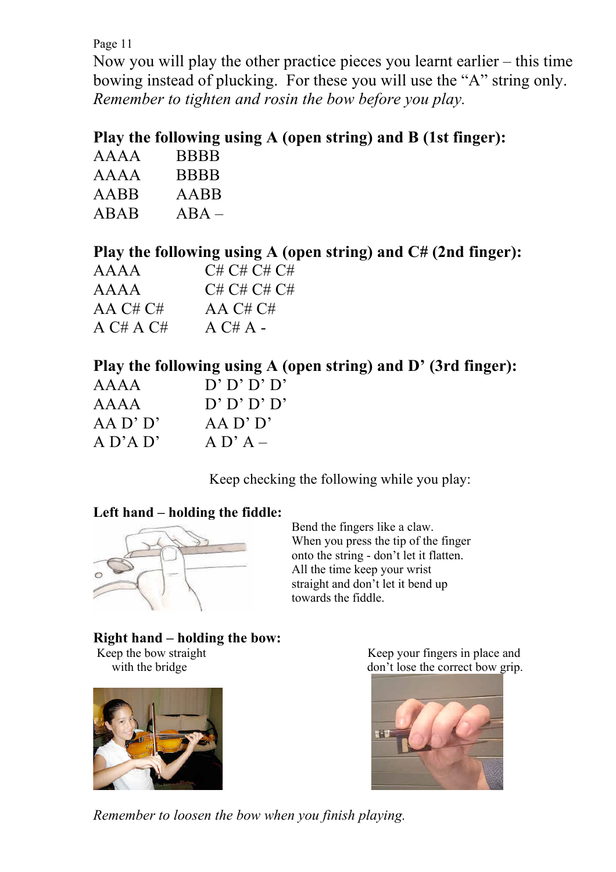Now you will play the other practice pieces you learnt earlier – this time bowing instead of plucking. For these you will use the "A" string only. *Remember to tighten and rosin the bow before you play.*

# **Play the following using A (open string) and B (1st finger):**

| AAAA | <b>BBBB</b> |
|------|-------------|
| AAAA | <b>BBBB</b> |
| AABB | AABB        |
| ABAB | $\bf{ABA}$  |

# **Play the following using A (open string) and C# (2nd finger):**

| AAAA      | C# C# C# C# |
|-----------|-------------|
| AAAA      | C# C# C# C# |
| AA C# C#  | AA $C# C#$  |
| A C# A C# | $AC#A -$    |

## **Play the following using A (open string) and D' (3rd finger):**

| AAAA         | D' D' D' D'  |
|--------------|--------------|
| AAAA         | D' D' D' D'  |
| $AA$ D' $D'$ | $AA$ D' $D'$ |
| $A$ D'A D'   | $A \nD' A -$ |

Keep checking the following while you play:

## **Left hand – holding the fiddle:**



Bend the fingers like a claw. When you press the tip of the finger onto the string - don't let it flatten. All the time keep your wrist straight and don't let it bend up towards the fiddle.

# **Right hand – holding the bow:**<br>Keep the bow straight



Keep your fingers in place and with the bridge don't lose the correct bow grip.



*Remember to loosen the bow when you finish playing.*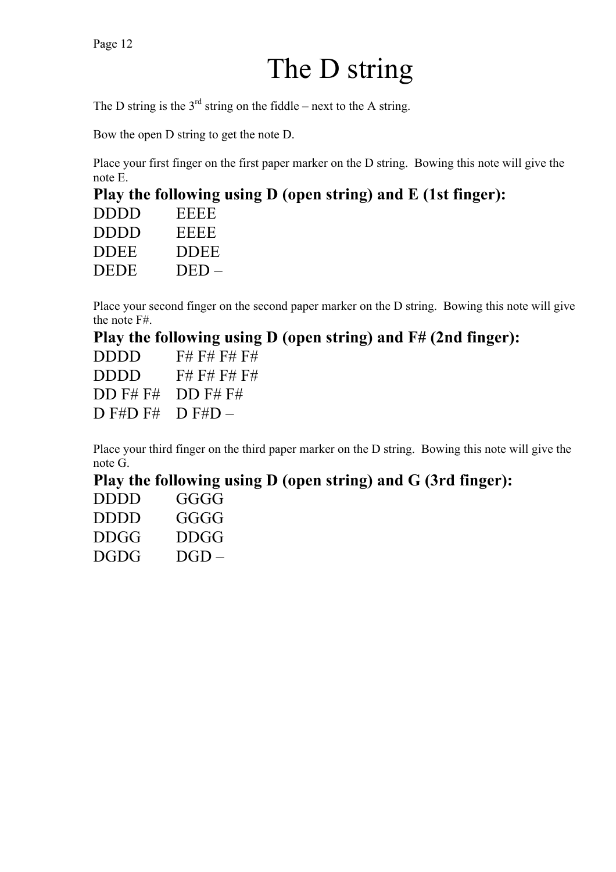# The D string

The D string is the  $3<sup>rd</sup>$  string on the fiddle – next to the A string.

Bow the open D string to get the note D.

Place your first finger on the first paper marker on the D string. Bowing this note will give the note E.

# **Play the following using D (open string) and E (1st finger):**

| <b>DDDD</b> | EEEE    |
|-------------|---------|
| <b>DDDD</b> | EEEE    |
| <b>DDEE</b> | DDEE    |
| <b>DEDE</b> | $DED =$ |

Place your second finger on the second paper marker on the D string. Bowing this note will give the note F#.

## **Play the following using D (open string) and F# (2nd finger):**

| <b>DDDD</b> | F# F# F# F# |
|-------------|-------------|
| DDDD        | F# F# F# F# |
| $DD$ F# F#  | $DD$ F# F#  |
| $D$ F#D F#  | $D$ F#D $-$ |

Place your third finger on the third paper marker on the D string. Bowing this note will give the note G.

## **Play the following using D (open string) and G (3rd finger):**

| DDDD | $\overrightarrow{i}$ |
|------|----------------------|
| DDDD | $\overrightarrow{i}$ |
| DDC  | <b>DDGG</b>          |
| DGDG | $D(iD -$             |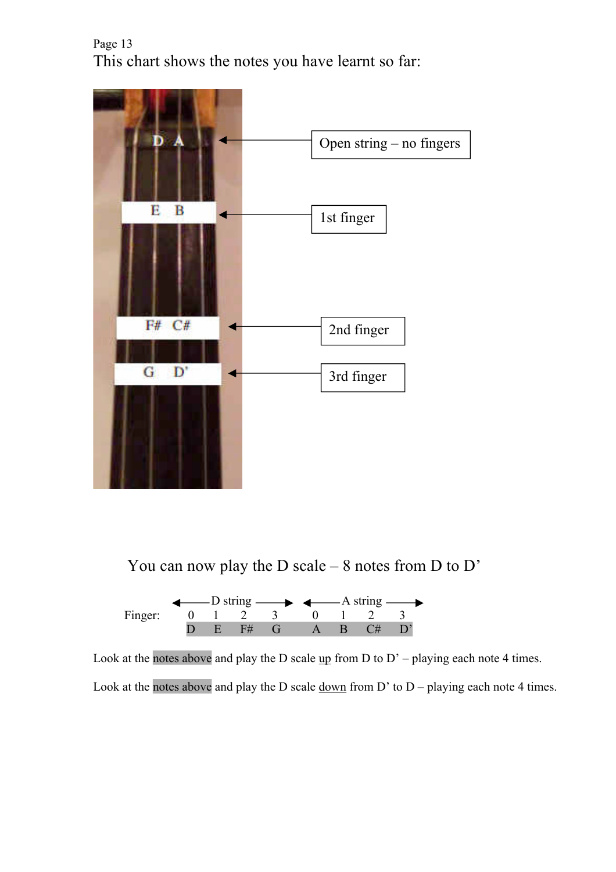Page 13 This chart shows the notes you have learnt so far:



You can now play the D scale – 8 notes from D to D'



Look at the notes above and play the D scale  $\mathbf{u}$  p from D to D' – playing each note 4 times.

Look at the notes above and play the D scale  $\underline{down}$  from D' to D – playing each note 4 times.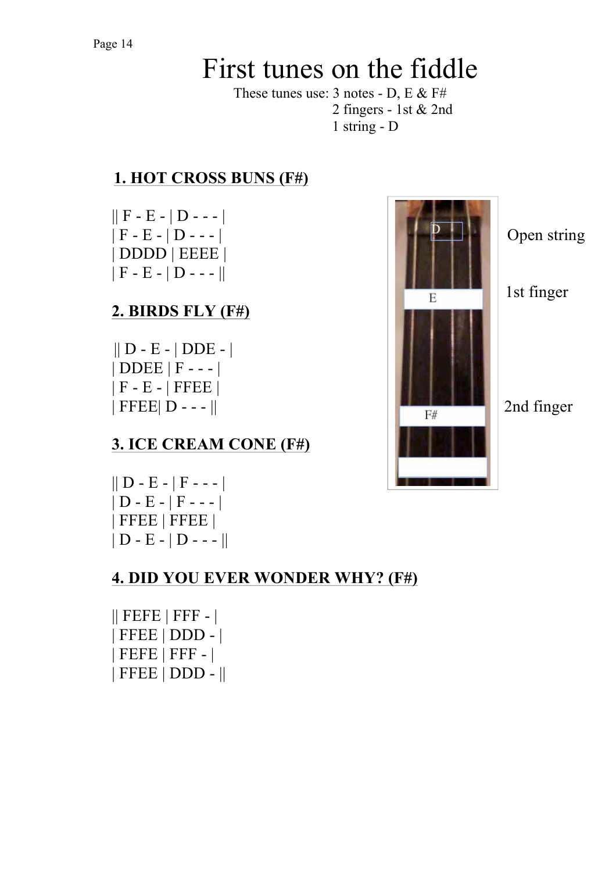# First tunes on the fiddle

These tunes use:  $3$  notes - D, E & F# 2 fingers - 1st & 2nd 1 string - D

# **1. HOT CROSS BUNS (F#)**

 $|| F - E - | D - - - |$ | DDDD | EEEE |  $||F - E - ||D - - - ||$ 

# **2. BIRDS FLY (F#)**

 || D - E - | DDE - | | DDEE | F - - - | | F - E - | FFEE |

# **3. ICE CREAM CONE (F#)**

 $|| D - E - | F - - |$  $|D - E - |F - -|$ | FFEE | FFEE |  $||D - E - ||D - - - ||$ 

# **4. DID YOU EVER WONDER WHY? (F#)**

 $||$  FEFE  $|$  FFF -  $|$ | FFEE | DDD - | | FEFE | FFF - | | FFEE | DDD - ||

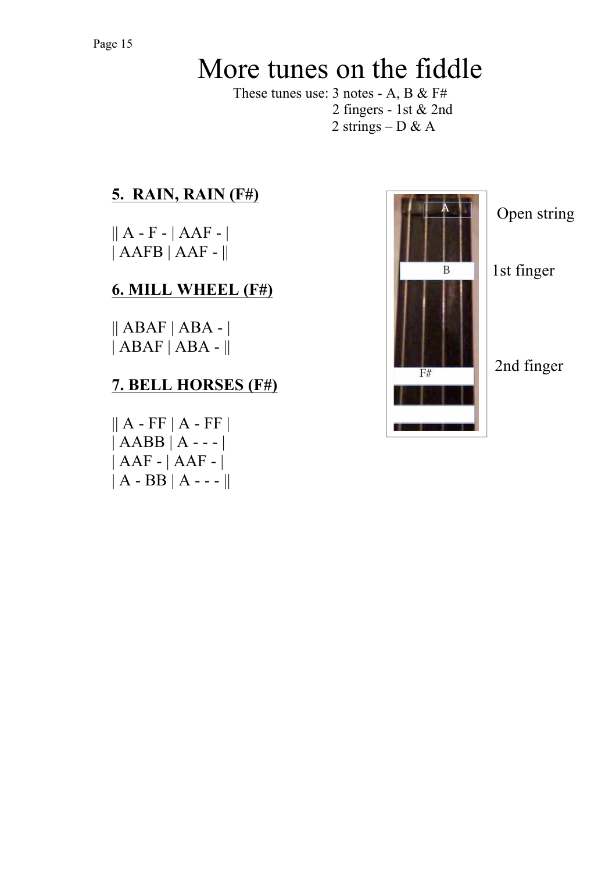# More tunes on the fiddle

These tunes use: 3 notes - A, B & F# 2 fingers - 1st & 2nd 2 strings – D & A

# **5. RAIN, RAIN (F#)**

 $|| A - F - | AAF - |$ | AAFB | AAF - ||

# **6. MILL WHEEL (F#)**

 $||$  ABAF  $|$  ABA -  $|$  $|ABAF|ABA - ||$ 

# **7. BELL HORSES (F#)**

 $|| A - FF || A - FF ||$  $|AABB|A---|$ | AAF - | AAF - |  $||A - BB||A - -||$ 



Open string

1st finger

# 2nd finger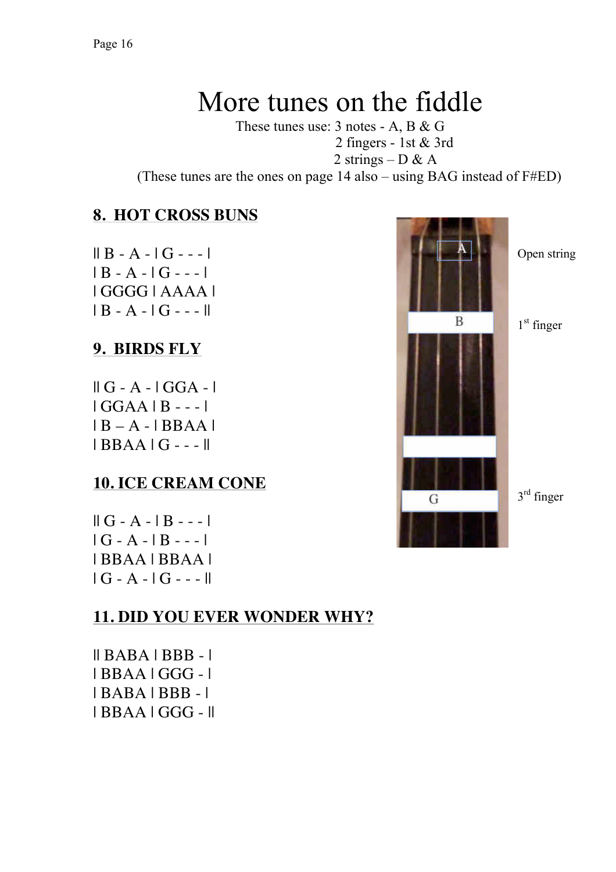# More tunes on the fiddle

These tunes use: 3 notes - A, B & G 2 fingers - 1st & 3rd

2 strings – D & A

(These tunes are the ones on page 14 also – using BAG instead of F#ED)

### **8. HOT CROSS BUNS**

 $|| B - A - | G - - |$  $| B - A - | G - - |$ | GGGG | AAAA |  $| B - A - | G - - | |$ 

### **9. BIRDS FLY**

 $\parallel$  G - A -  $\parallel$  GGA -  $\parallel$  $IGGAA$   $B$  - -- $|B - A - BBAA|$ | BBAA | G - - - ||

#### **10. ICE CREAM CONE**

| $\parallel$ G - A - $\parallel$ B - - - $\parallel$ |
|-----------------------------------------------------|
| $ G - A - B - - -$                                  |
| I BBAA I BBAA I                                     |
| $ G - A -  G - - -   $                              |

## **11. DID YOU EVER WONDER WHY?**

|| BABA | BBB - | | BBAA | GGG - | | BABA | BBB - | | BBAA | GGG - ||